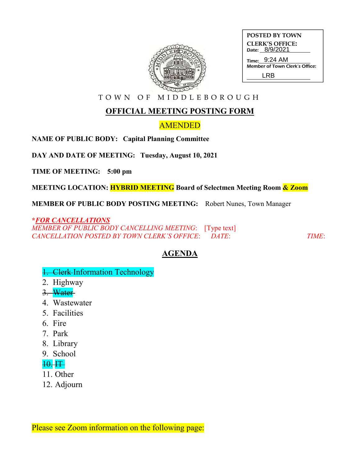

| <b>POSTED BY TOWN</b>  |                |  |
|------------------------|----------------|--|
| <b>CLERK'S OFFICE:</b> |                |  |
|                        | Date: 8/9/2021 |  |
|                        | Time: 9:24 AM  |  |

| Time: 9:24 AM                  |
|--------------------------------|
| Member of Town Clerk's Office: |
| LRB                            |

T O W N O F M I D D L E B O R O U G H

## **OFFICIAL MEETING POSTING FORM**

## AMENDED

**NAME OF PUBLIC BODY: Capital Planning Committee**

**DAY AND DATE OF MEETING: Tuesday, August 10, 2021**

**TIME OF MEETING: 5:00 pm**

**MEETING LOCATION: HYBRID MEETING Board of Selectmen Meeting Room & Zoom**

**MEMBER OF PUBLIC BODY POSTING MEETING:** Robert Nunes, Town Manager

**\****FOR CANCELLATIONS MEMBER OF PUBLIC BODY CANCELLING MEETING*: [Type text] *CANCELLATION POSTED BY TOWN CLERK'S OFFICE*: *DATE*: *TIME*:

# **AGENDA**

### 1. Clerk Information Technology

- 2. Highway
- 3. Water
- 4. Wastewater
- 5. Facilities
- 6. Fire
- 7. Park
- 8. Library
- 9. School

#### 10. IT

- 11. Other
- 12. Adjourn